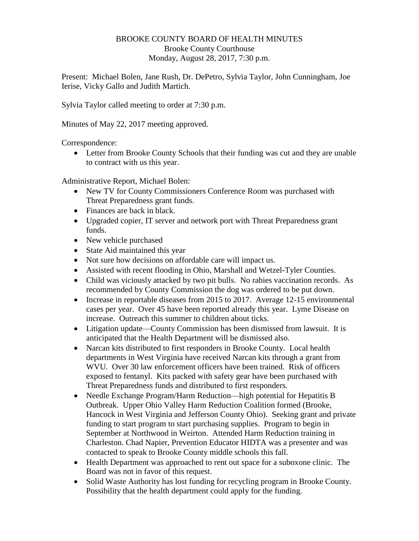## BROOKE COUNTY BOARD OF HEALTH MINUTES Brooke County Courthouse Monday, August 28, 2017, 7:30 p.m.

Present: Michael Bolen, Jane Rush, Dr. DePetro, Sylvia Taylor, John Cunningham, Joe Ierise, Vicky Gallo and Judith Martich.

Sylvia Taylor called meeting to order at 7:30 p.m.

Minutes of May 22, 2017 meeting approved.

Correspondence:

 Letter from Brooke County Schools that their funding was cut and they are unable to contract with us this year.

Administrative Report, Michael Bolen:

- New TV for County Commissioners Conference Room was purchased with Threat Preparedness grant funds.
- Finances are back in black.
- Upgraded copier, IT server and network port with Threat Preparedness grant funds.
- New vehicle purchased
- State Aid maintained this year
- Not sure how decisions on affordable care will impact us.
- Assisted with recent flooding in Ohio, Marshall and Wetzel-Tyler Counties.
- Child was viciously attacked by two pit bulls. No rabies vaccination records. As recommended by County Commission the dog was ordered to be put down.
- Increase in reportable diseases from 2015 to 2017. Average 12-15 environmental cases per year. Over 45 have been reported already this year. Lyme Disease on increase. Outreach this summer to children about ticks.
- Litigation update—County Commission has been dismissed from lawsuit. It is anticipated that the Health Department will be dismissed also.
- Narcan kits distributed to first responders in Brooke County. Local health departments in West Virginia have received Narcan kits through a grant from WVU. Over 30 law enforcement officers have been trained. Risk of officers exposed to fentanyl. Kits packed with safety gear have been purchased with Threat Preparedness funds and distributed to first responders.
- Needle Exchange Program/Harm Reduction—high potential for Hepatitis B Outbreak. Upper Ohio Valley Harm Reduction Coalition formed (Brooke, Hancock in West Virginia and Jefferson County Ohio). Seeking grant and private funding to start program to start purchasing supplies. Program to begin in September at Northwood in Weirton. Attended Harm Reduction training in Charleston. Chad Napier, Prevention Educator HIDTA was a presenter and was contacted to speak to Brooke County middle schools this fall.
- Health Department was approached to rent out space for a suboxone clinic. The Board was not in favor of this request.
- Solid Waste Authority has lost funding for recycling program in Brooke County. Possibility that the health department could apply for the funding.